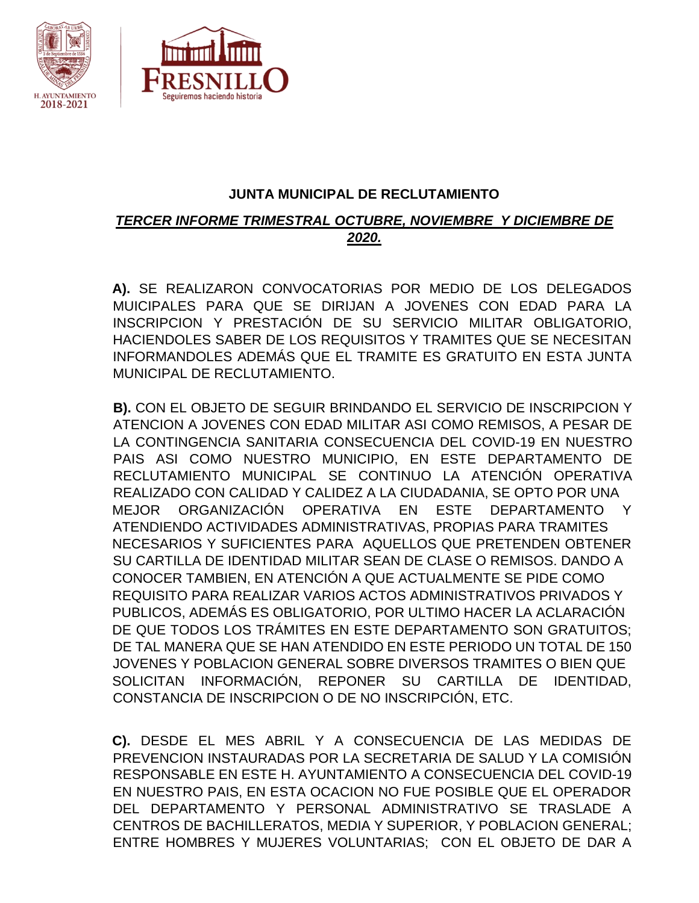

## **JUNTA MUNICIPAL DE RECLUTAMIENTO**

## *TERCER INFORME TRIMESTRAL OCTUBRE, NOVIEMBRE Y DICIEMBRE DE 2020.*

**A).** SE REALIZARON CONVOCATORIAS POR MEDIO DE LOS DELEGADOS MUICIPALES PARA QUE SE DIRIJAN A JOVENES CON EDAD PARA LA INSCRIPCION Y PRESTACIÓN DE SU SERVICIO MILITAR OBLIGATORIO, HACIENDOLES SABER DE LOS REQUISITOS Y TRAMITES QUE SE NECESITAN INFORMANDOLES ADEMÁS QUE EL TRAMITE ES GRATUITO EN ESTA JUNTA MUNICIPAL DE RECLUTAMIENTO.

**B).** CON EL OBJETO DE SEGUIR BRINDANDO EL SERVICIO DE INSCRIPCION Y ATENCION A JOVENES CON EDAD MILITAR ASI COMO REMISOS, A PESAR DE LA CONTINGENCIA SANITARIA CONSECUENCIA DEL COVID-19 EN NUESTRO PAIS ASI COMO NUESTRO MUNICIPIO, EN ESTE DEPARTAMENTO DE RECLUTAMIENTO MUNICIPAL SE CONTINUO LA ATENCIÓN OPERATIVA REALIZADO CON CALIDAD Y CALIDEZ A LA CIUDADANIA, SE OPTO POR UNA MEJOR ORGANIZACIÓN OPERATIVA EN ESTE DEPARTAMENTO Y ATENDIENDO ACTIVIDADES ADMINISTRATIVAS, PROPIAS PARA TRAMITES NECESARIOS Y SUFICIENTES PARA AQUELLOS QUE PRETENDEN OBTENER SU CARTILLA DE IDENTIDAD MILITAR SEAN DE CLASE O REMISOS. DANDO A CONOCER TAMBIEN, EN ATENCIÓN A QUE ACTUALMENTE SE PIDE COMO REQUISITO PARA REALIZAR VARIOS ACTOS ADMINISTRATIVOS PRIVADOS Y PUBLICOS, ADEMÁS ES OBLIGATORIO, POR ULTIMO HACER LA ACLARACIÓN DE QUE TODOS LOS TRÁMITES EN ESTE DEPARTAMENTO SON GRATUITOS; DE TAL MANERA QUE SE HAN ATENDIDO EN ESTE PERIODO UN TOTAL DE 150 JOVENES Y POBLACION GENERAL SOBRE DIVERSOS TRAMITES O BIEN QUE SOLICITAN INFORMACIÓN, REPONER SU CARTILLA DE IDENTIDAD, CONSTANCIA DE INSCRIPCION O DE NO INSCRIPCIÓN, ETC.

**C).** DESDE EL MES ABRIL Y A CONSECUENCIA DE LAS MEDIDAS DE PREVENCION INSTAURADAS POR LA SECRETARIA DE SALUD Y LA COMISIÓN RESPONSABLE EN ESTE H. AYUNTAMIENTO A CONSECUENCIA DEL COVID-19 EN NUESTRO PAIS, EN ESTA OCACION NO FUE POSIBLE QUE EL OPERADOR DEL DEPARTAMENTO Y PERSONAL ADMINISTRATIVO SE TRASLADE A CENTROS DE BACHILLERATOS, MEDIA Y SUPERIOR, Y POBLACION GENERAL; ENTRE HOMBRES Y MUJERES VOLUNTARIAS; CON EL OBJETO DE DAR A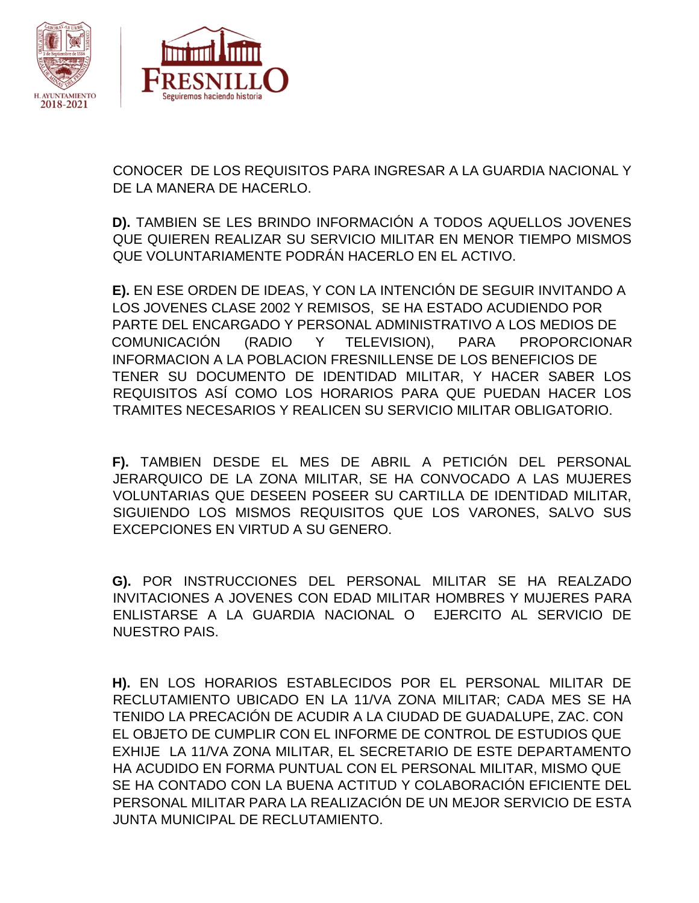

CONOCER DE LOS REQUISITOS PARA INGRESAR A LA GUARDIA NACIONAL Y DE LA MANERA DE HACERLO.

**D).** TAMBIEN SE LES BRINDO INFORMACIÓN A TODOS AQUELLOS JOVENES QUE QUIEREN REALIZAR SU SERVICIO MILITAR EN MENOR TIEMPO MISMOS QUE VOLUNTARIAMENTE PODRÁN HACERLO EN EL ACTIVO.

**E).** EN ESE ORDEN DE IDEAS, Y CON LA INTENCIÓN DE SEGUIR INVITANDO A LOS JOVENES CLASE 2002 Y REMISOS, SE HA ESTADO ACUDIENDO POR PARTE DEL ENCARGADO Y PERSONAL ADMINISTRATIVO A LOS MEDIOS DE COMUNICACIÓN (RADIO Y TELEVISION), PARA PROPORCIONAR INFORMACION A LA POBLACION FRESNILLENSE DE LOS BENEFICIOS DE TENER SU DOCUMENTO DE IDENTIDAD MILITAR, Y HACER SABER LOS REQUISITOS ASÍ COMO LOS HORARIOS PARA QUE PUEDAN HACER LOS TRAMITES NECESARIOS Y REALICEN SU SERVICIO MILITAR OBLIGATORIO.

**F).** TAMBIEN DESDE EL MES DE ABRIL A PETICIÓN DEL PERSONAL JERARQUICO DE LA ZONA MILITAR, SE HA CONVOCADO A LAS MUJERES VOLUNTARIAS QUE DESEEN POSEER SU CARTILLA DE IDENTIDAD MILITAR, SIGUIENDO LOS MISMOS REQUISITOS QUE LOS VARONES, SALVO SUS EXCEPCIONES EN VIRTUD A SU GENERO.

**G).** POR INSTRUCCIONES DEL PERSONAL MILITAR SE HA REALZADO INVITACIONES A JOVENES CON EDAD MILITAR HOMBRES Y MUJERES PARA ENLISTARSE A LA GUARDIA NACIONAL O EJERCITO AL SERVICIO DE NUESTRO PAIS.

**H).** EN LOS HORARIOS ESTABLECIDOS POR EL PERSONAL MILITAR DE RECLUTAMIENTO UBICADO EN LA 11/VA ZONA MILITAR; CADA MES SE HA TENIDO LA PRECACIÓN DE ACUDIR A LA CIUDAD DE GUADALUPE, ZAC. CON EL OBJETO DE CUMPLIR CON EL INFORME DE CONTROL DE ESTUDIOS QUE EXHIJE LA 11/VA ZONA MILITAR, EL SECRETARIO DE ESTE DEPARTAMENTO HA ACUDIDO EN FORMA PUNTUAL CON EL PERSONAL MILITAR, MISMO QUE SE HA CONTADO CON LA BUENA ACTITUD Y COLABORACIÓN EFICIENTE DEL PERSONAL MILITAR PARA LA REALIZACIÓN DE UN MEJOR SERVICIO DE ESTA JUNTA MUNICIPAL DE RECLUTAMIENTO.